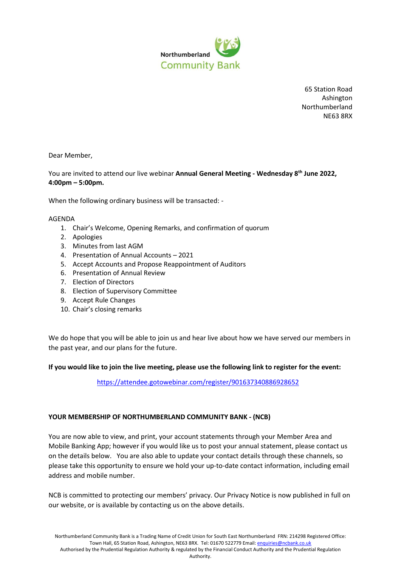

65 Station Road Ashington Northumberland NE63 8RX

Dear Member,

You are invited to attend our live webinar **Annual General Meeting - Wednesday 8th June 2022, 4:00pm – 5:00pm.**

When the following ordinary business will be transacted: -

## AGENDA

- 1. Chair's Welcome, Opening Remarks, and confirmation of quorum
- 2. Apologies
- 3. Minutes from last AGM
- 4. Presentation of Annual Accounts 2021
- 5. Accept Accounts and Propose Reappointment of Auditors
- 6. Presentation of Annual Review
- 7. Election of Directors
- 8. Election of Supervisory Committee
- 9. Accept Rule Changes
- 10. Chair's closing remarks

We do hope that you will be able to join us and hear live about how we have served our members in the past year, and our plans for the future.

## **If you would like to join the live meeting, please use the following link to register for the event:**

<https://attendee.gotowebinar.com/register/901637340886928652>

## **YOUR MEMBERSHIP OF NORTHUMBERLAND COMMUNITY BANK - (NCB)**

You are now able to view, and print, your account statements through your [Member Area](https://www.northumberlandcommunitybank.co.uk/login/) and Mobile Banking [App;](https://www.incuto.com/download) however if you would like us to post your annual statement, please contact us on the details below. You are also able to update your contact details through these channels, so please take this opportunity to ensure we hold your up-to-date contact information, including email address and mobile number.

NCB is committed to protecting our members' privacy. Our Privacy Notice is now published in full on our [website,](https://northumberlandcommunitybank.co.uk/dl/b281c5fde4/NCBPrivacyNoticeApril19.pdf) or is available by contacting us on the above details.